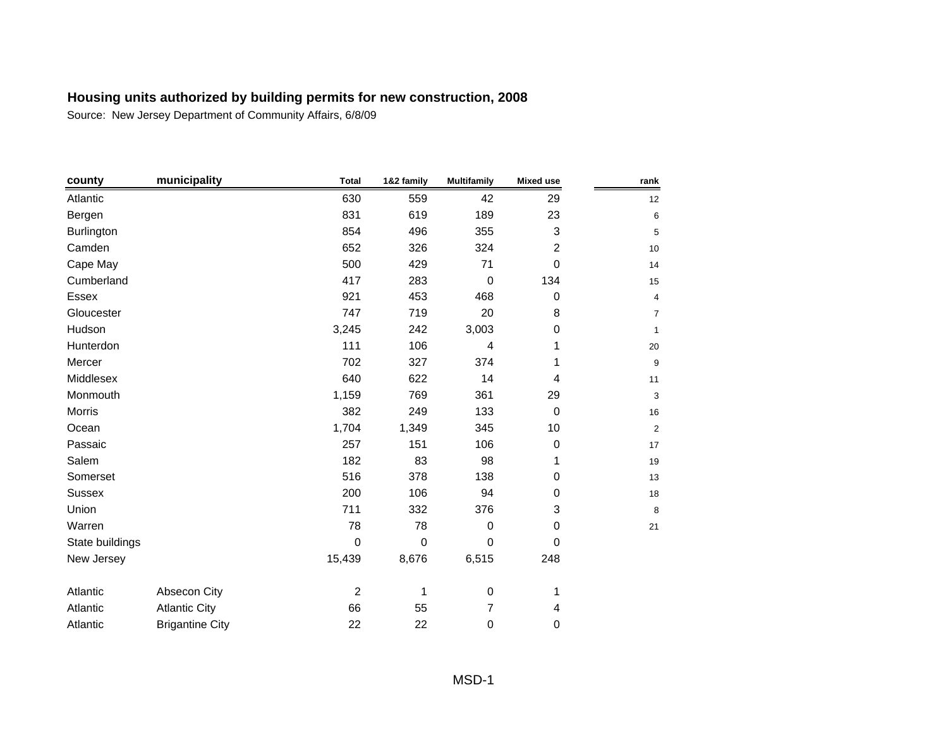| county          | municipality           | <b>Total</b>   | 1&2 family | <b>Multifamily</b> | <b>Mixed use</b> | rank                      |
|-----------------|------------------------|----------------|------------|--------------------|------------------|---------------------------|
| Atlantic        |                        | 630            | 559        | 42                 | 29               | 12                        |
| Bergen          |                        | 831            | 619        | 189                | 23               | 6                         |
| Burlington      |                        | 854            | 496        | 355                | 3                | 5                         |
| Camden          |                        | 652            | 326        | 324                | $\overline{c}$   | 10                        |
| Cape May        |                        | 500            | 429        | 71                 | $\mathbf 0$      | 14                        |
| Cumberland      |                        | 417            | 283        | $\mathbf 0$        | 134              | 15                        |
| Essex           |                        | 921            | 453        | 468                | 0                | $\overline{\mathbf{4}}$   |
| Gloucester      |                        | 747            | 719        | 20                 | 8                | $\overline{7}$            |
| Hudson          |                        | 3,245          | 242        | 3,003              | 0                | $\mathbf{1}$              |
| Hunterdon       |                        | 111            | 106        | 4                  | 1                | 20                        |
| Mercer          |                        | 702            | 327        | 374                | 1                | $\boldsymbol{9}$          |
| Middlesex       |                        | 640            | 622        | 14                 | 4                | 11                        |
| Monmouth        |                        | 1,159          | 769        | 361                | 29               | $\ensuremath{\mathsf{3}}$ |
| <b>Morris</b>   |                        | 382            | 249        | 133                | $\mathbf 0$      | 16                        |
| Ocean           |                        | 1,704          | 1,349      | 345                | 10               | $\mathbf 2$               |
| Passaic         |                        | 257            | 151        | 106                | $\pmb{0}$        | 17                        |
| Salem           |                        | 182            | 83         | 98                 | 1                | 19                        |
| Somerset        |                        | 516            | 378        | 138                | 0                | 13                        |
| <b>Sussex</b>   |                        | 200            | 106        | 94                 | 0                | 18                        |
| Union           |                        | 711            | 332        | 376                | 3                | 8                         |
| Warren          |                        | 78             | 78         | $\boldsymbol{0}$   | 0                | 21                        |
| State buildings |                        | $\mathbf 0$    | 0          | 0                  | $\pmb{0}$        |                           |
| New Jersey      |                        | 15,439         | 8,676      | 6,515              | 248              |                           |
| Atlantic        | Absecon City           | $\overline{c}$ | 1          | $\pmb{0}$          | 1                |                           |
| Atlantic        | <b>Atlantic City</b>   | 66             | 55         | $\overline{7}$     | 4                |                           |
| Atlantic        | <b>Brigantine City</b> | 22             | 22         | 0                  | 0                |                           |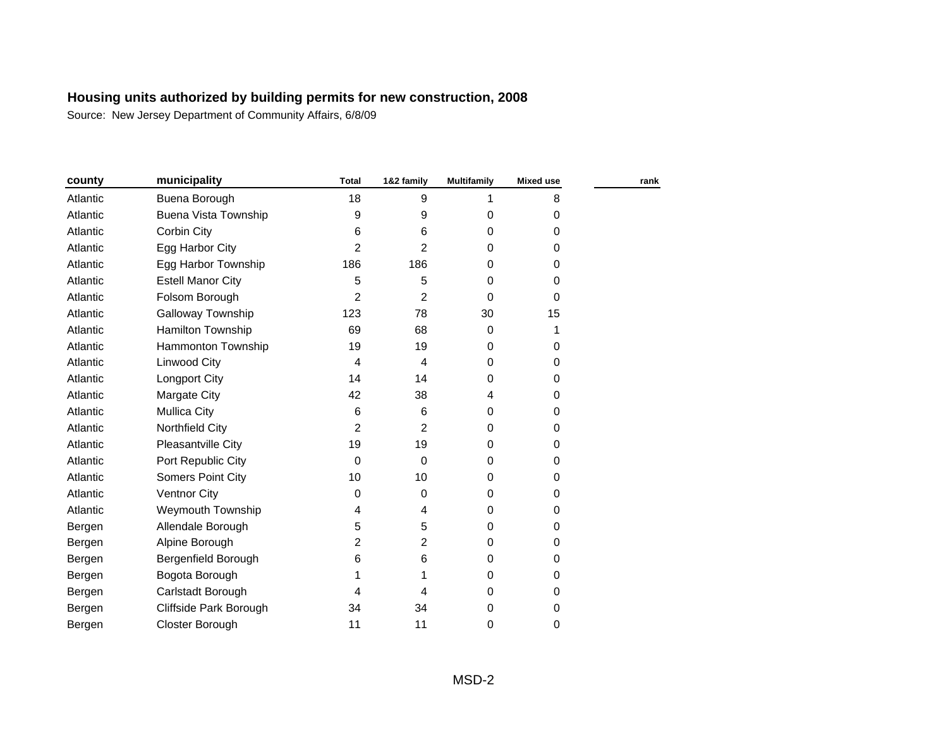| county   | municipality             | <b>Total</b>   | 1&2 family  | <b>Multifamily</b> | <b>Mixed use</b> | rank |
|----------|--------------------------|----------------|-------------|--------------------|------------------|------|
| Atlantic | Buena Borough            | 18             | 9           | 1                  | 8                |      |
| Atlantic | Buena Vista Township     | 9              | 9           | $\mathbf 0$        | 0                |      |
| Atlantic | Corbin City              | 6              | 6           | 0                  | 0                |      |
| Atlantic | Egg Harbor City          | $\overline{2}$ | 2           | 0                  | 0                |      |
| Atlantic | Egg Harbor Township      | 186            | 186         | 0                  | 0                |      |
| Atlantic | <b>Estell Manor City</b> | 5              | 5           | 0                  | 0                |      |
| Atlantic | Folsom Borough           | 2              | 2           | $\Omega$           | 0                |      |
| Atlantic | Galloway Township        | 123            | 78          | 30                 | 15               |      |
| Atlantic | <b>Hamilton Township</b> | 69             | 68          | 0                  | 1                |      |
| Atlantic | Hammonton Township       | 19             | 19          | $\Omega$           | 0                |      |
| Atlantic | Linwood City             | 4              | 4           | 0                  | 0                |      |
| Atlantic | Longport City            | 14             | 14          | 0                  | 0                |      |
| Atlantic | Margate City             | 42             | 38          | 4                  | 0                |      |
| Atlantic | <b>Mullica City</b>      | 6              | 6           | 0                  | 0                |      |
| Atlantic | Northfield City          | 2              | 2           | 0                  | 0                |      |
| Atlantic | Pleasantville City       | 19             | 19          | $\Omega$           | 0                |      |
| Atlantic | Port Republic City       | 0              | $\mathbf 0$ | 0                  | 0                |      |
| Atlantic | <b>Somers Point City</b> | 10             | 10          | 0                  | 0                |      |
| Atlantic | <b>Ventnor City</b>      | 0              | 0           | 0                  | 0                |      |
| Atlantic | Weymouth Township        | 4              | 4           | 0                  | 0                |      |
| Bergen   | Allendale Borough        | 5              | 5           | 0                  | 0                |      |
| Bergen   | Alpine Borough           | 2              | 2           | $\mathbf 0$        | 0                |      |
| Bergen   | Bergenfield Borough      | 6              | 6           | 0                  | 0                |      |
| Bergen   | Bogota Borough           |                |             | 0                  | 0                |      |
| Bergen   | Carlstadt Borough        | 4              | 4           | 0                  | 0                |      |
| Bergen   | Cliffside Park Borough   | 34             | 34          | 0                  | 0                |      |
| Bergen   | Closter Borough          | 11             | 11          | 0                  | 0                |      |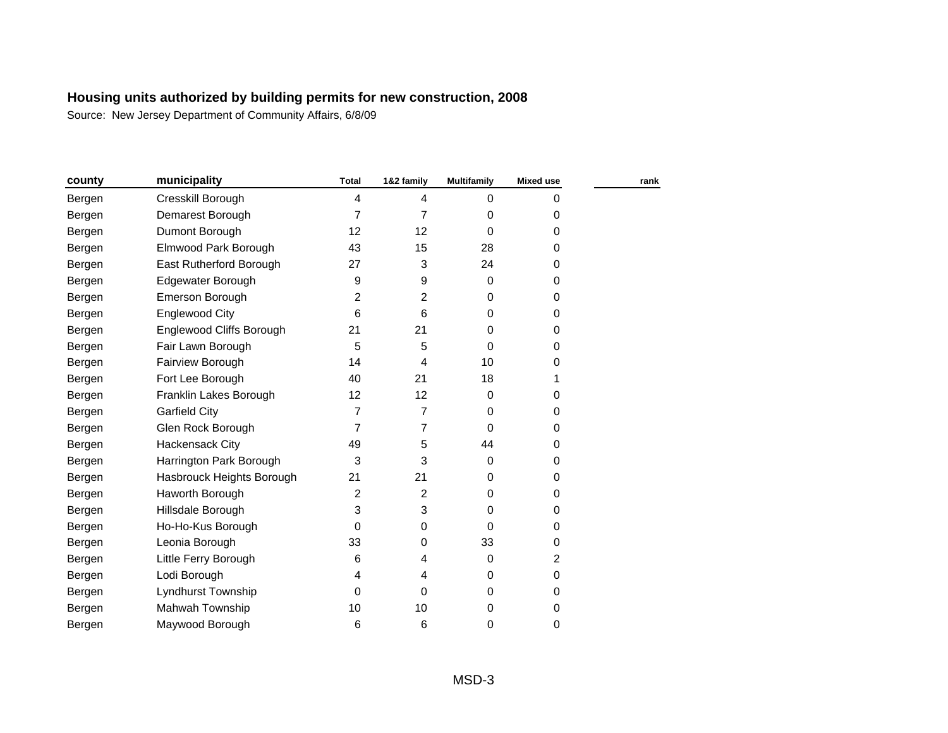| county | municipality              | <b>Total</b>   | 1&2 family     | <b>Multifamily</b> | <b>Mixed use</b> | rank |
|--------|---------------------------|----------------|----------------|--------------------|------------------|------|
| Bergen | Cresskill Borough         | 4              | 4              | 0                  | 0                |      |
| Bergen | Demarest Borough          | $\overline{7}$ | 7              | 0                  | 0                |      |
| Bergen | Dumont Borough            | 12             | 12             | $\Omega$           | 0                |      |
| Bergen | Elmwood Park Borough      | 43             | 15             | 28                 | 0                |      |
| Bergen | East Rutherford Borough   | 27             | 3              | 24                 | 0                |      |
| Bergen | Edgewater Borough         | 9              | 9              | $\mathbf 0$        | 0                |      |
| Bergen | Emerson Borough           | 2              | 2              | $\mathbf 0$        | 0                |      |
| Bergen | <b>Englewood City</b>     | 6              | 6              | 0                  | 0                |      |
| Bergen | Englewood Cliffs Borough  | 21             | 21             | 0                  | 0                |      |
| Bergen | Fair Lawn Borough         | 5              | 5              | 0                  | 0                |      |
| Bergen | Fairview Borough          | 14             | 4              | 10                 | 0                |      |
| Bergen | Fort Lee Borough          | 40             | 21             | 18                 | 1                |      |
| Bergen | Franklin Lakes Borough    | 12             | 12             | 0                  | 0                |      |
| Bergen | <b>Garfield City</b>      | $\overline{7}$ | $\overline{7}$ | $\Omega$           | 0                |      |
| Bergen | Glen Rock Borough         | $\overline{7}$ | $\overline{7}$ | 0                  | 0                |      |
| Bergen | Hackensack City           | 49             | 5              | 44                 | 0                |      |
| Bergen | Harrington Park Borough   | 3              | 3              | $\mathbf 0$        | 0                |      |
| Bergen | Hasbrouck Heights Borough | 21             | 21             | 0                  | 0                |      |
| Bergen | Haworth Borough           | $\overline{c}$ | 2              | $\Omega$           | 0                |      |
| Bergen | Hillsdale Borough         | 3              | 3              | 0                  | 0                |      |
| Bergen | Ho-Ho-Kus Borough         | 0              | 0              | 0                  | 0                |      |
| Bergen | Leonia Borough            | 33             | 0              | 33                 | 0                |      |
| Bergen | Little Ferry Borough      | 6              | 4              | $\mathbf 0$        | 2                |      |
| Bergen | Lodi Borough              | 4              | 4              | $\mathbf 0$        | 0                |      |
| Bergen | Lyndhurst Township        | $\Omega$       | 0              | $\Omega$           | 0                |      |
| Bergen | Mahwah Township           | 10             | 10             | $\mathbf 0$        | 0                |      |
| Bergen | Maywood Borough           | 6              | 6              | $\mathbf 0$        | 0                |      |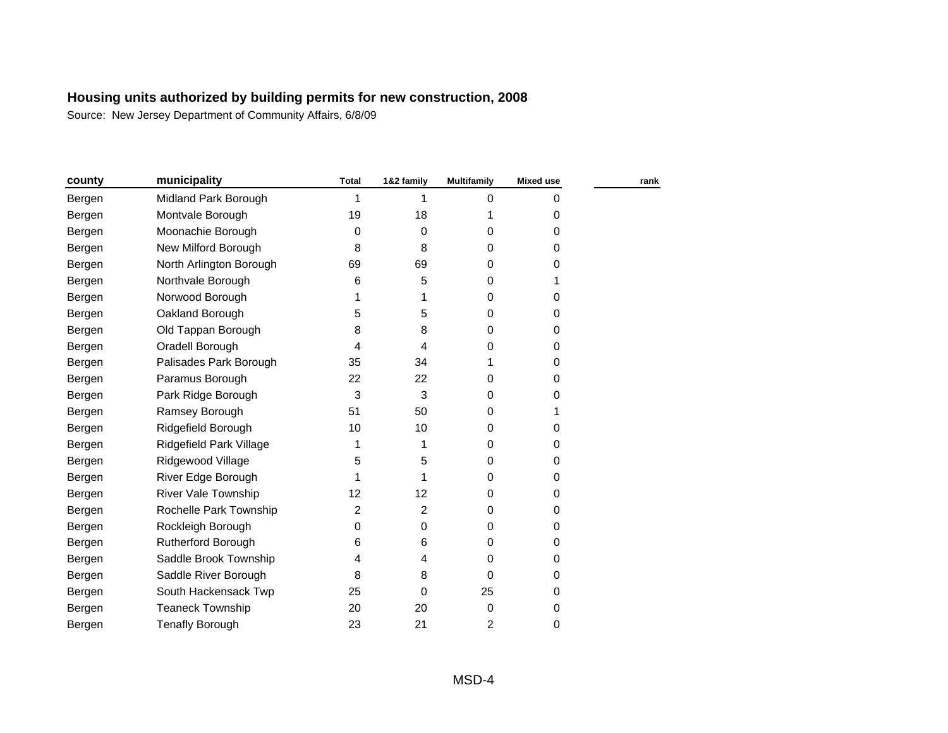| county | municipality               | <b>Total</b>   | 1&2 family     | <b>Multifamily</b> | <b>Mixed use</b> | rank |
|--------|----------------------------|----------------|----------------|--------------------|------------------|------|
| Bergen | Midland Park Borough       | 1              | 1              | 0                  | 0                |      |
| Bergen | Montvale Borough           | 19             | 18             |                    | 0                |      |
| Bergen | Moonachie Borough          | 0              | 0              | 0                  | 0                |      |
| Bergen | New Milford Borough        | 8              | 8              | 0                  | 0                |      |
| Bergen | North Arlington Borough    | 69             | 69             | 0                  | 0                |      |
| Bergen | Northvale Borough          | 6              | 5              | 0                  | 1                |      |
| Bergen | Norwood Borough            | 1              | 1              | 0                  | 0                |      |
| Bergen | Oakland Borough            | 5              | 5              | 0                  | 0                |      |
| Bergen | Old Tappan Borough         | 8              | 8              | 0                  | 0                |      |
| Bergen | Oradell Borough            | 4              | 4              | 0                  | 0                |      |
| Bergen | Palisades Park Borough     | 35             | 34             |                    | 0                |      |
| Bergen | Paramus Borough            | 22             | 22             | 0                  | 0                |      |
| Bergen | Park Ridge Borough         | 3              | 3              | 0                  | 0                |      |
| Bergen | Ramsey Borough             | 51             | 50             | 0                  |                  |      |
| Bergen | Ridgefield Borough         | 10             | 10             | 0                  | 0                |      |
| Bergen | Ridgefield Park Village    | 1              | 1              | 0                  | 0                |      |
| Bergen | Ridgewood Village          | 5              | 5              | 0                  | 0                |      |
| Bergen | River Edge Borough         |                |                | 0                  | 0                |      |
| Bergen | <b>River Vale Township</b> | 12             | 12             | 0                  | 0                |      |
| Bergen | Rochelle Park Township     | $\overline{2}$ | $\overline{2}$ | 0                  | 0                |      |
| Bergen | Rockleigh Borough          | 0              | 0              | 0                  | 0                |      |
| Bergen | Rutherford Borough         | 6              | 6              | 0                  | 0                |      |
| Bergen | Saddle Brook Township      | 4              | 4              | 0                  | 0                |      |
| Bergen | Saddle River Borough       | 8              | 8              | 0                  | 0                |      |
| Bergen | South Hackensack Twp       | 25             | 0              | 25                 | 0                |      |
| Bergen | <b>Teaneck Township</b>    | 20             | 20             | 0                  | 0                |      |
| Bergen | <b>Tenafly Borough</b>     | 23             | 21             | 2                  | 0                |      |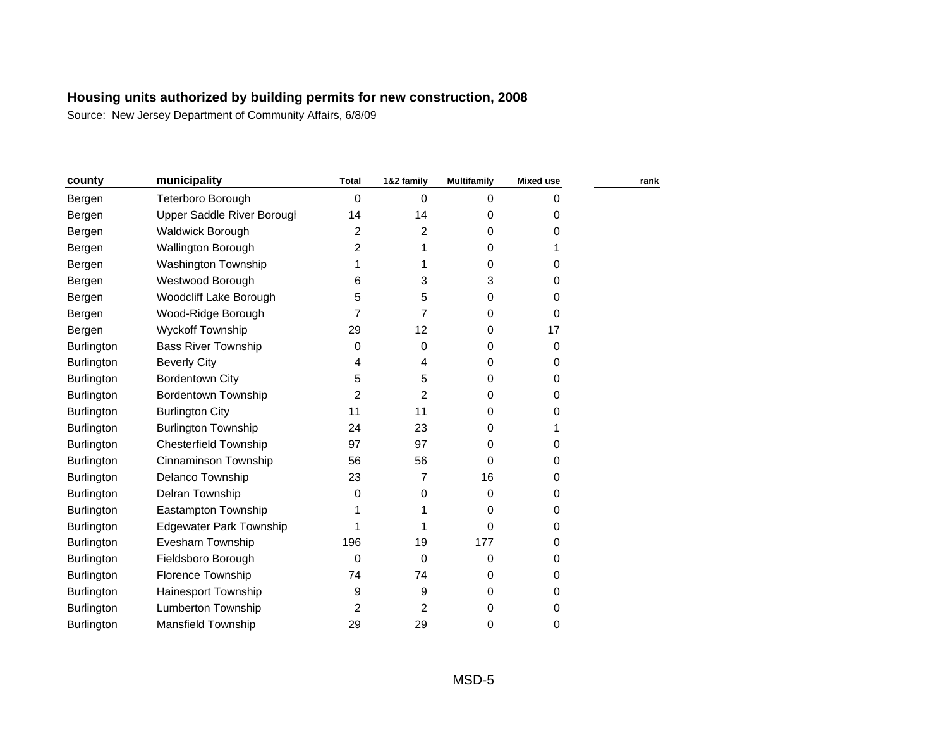| county            | municipality                   | <b>Total</b>   | 1&2 family  | Multifamily | <b>Mixed use</b> | rank |
|-------------------|--------------------------------|----------------|-------------|-------------|------------------|------|
| Bergen            | Teterboro Borough              | 0              | 0           | 0           | 0                |      |
| Bergen            | Upper Saddle River Borougl     | 14             | 14          | 0           | 0                |      |
| Bergen            | <b>Waldwick Borough</b>        | 2              | 2           | 0           | 0                |      |
| Bergen            | Wallington Borough             | 2              | 1           | 0           |                  |      |
| Bergen            | <b>Washington Township</b>     | 1              | 1           | 0           | 0                |      |
| Bergen            | Westwood Borough               | 6              | 3           | 3           | 0                |      |
| Bergen            | Woodcliff Lake Borough         | 5              | 5           | 0           | 0                |      |
| Bergen            | Wood-Ridge Borough             | 7              | 7           | 0           | 0                |      |
| Bergen            | <b>Wyckoff Township</b>        | 29             | 12          | 0           | 17               |      |
| Burlington        | <b>Bass River Township</b>     | 0              | 0           | 0           | 0                |      |
| Burlington        | <b>Beverly City</b>            | 4              | 4           | 0           | 0                |      |
| <b>Burlington</b> | <b>Bordentown City</b>         | 5              | 5           | 0           | 0                |      |
| Burlington        | <b>Bordentown Township</b>     | $\overline{2}$ | 2           | 0           | 0                |      |
| Burlington        | <b>Burlington City</b>         | 11             | 11          | 0           | 0                |      |
| Burlington        | <b>Burlington Township</b>     | 24             | 23          | 0           | 1                |      |
| Burlington        | <b>Chesterfield Township</b>   | 97             | 97          | 0           | 0                |      |
| Burlington        | Cinnaminson Township           | 56             | 56          | 0           | 0                |      |
| Burlington        | Delanco Township               | 23             | 7           | 16          | 0                |      |
| Burlington        | Delran Township                | 0              | 0           | $\Omega$    | 0                |      |
| Burlington        | Eastampton Township            |                |             | 0           | 0                |      |
| Burlington        | <b>Edgewater Park Township</b> |                | 1           | 0           | 0                |      |
| Burlington        | Evesham Township               | 196            | 19          | 177         | 0                |      |
| <b>Burlington</b> | Fieldsboro Borough             | 0              | $\mathbf 0$ | 0           | 0                |      |
| Burlington        | Florence Township              | 74             | 74          | 0           | 0                |      |
| Burlington        | Hainesport Township            | 9              | 9           | 0           | 0                |      |
| Burlington        | Lumberton Township             | $\overline{2}$ | 2           | 0           | 0                |      |
| Burlington        | Mansfield Township             | 29             | 29          | 0           | 0                |      |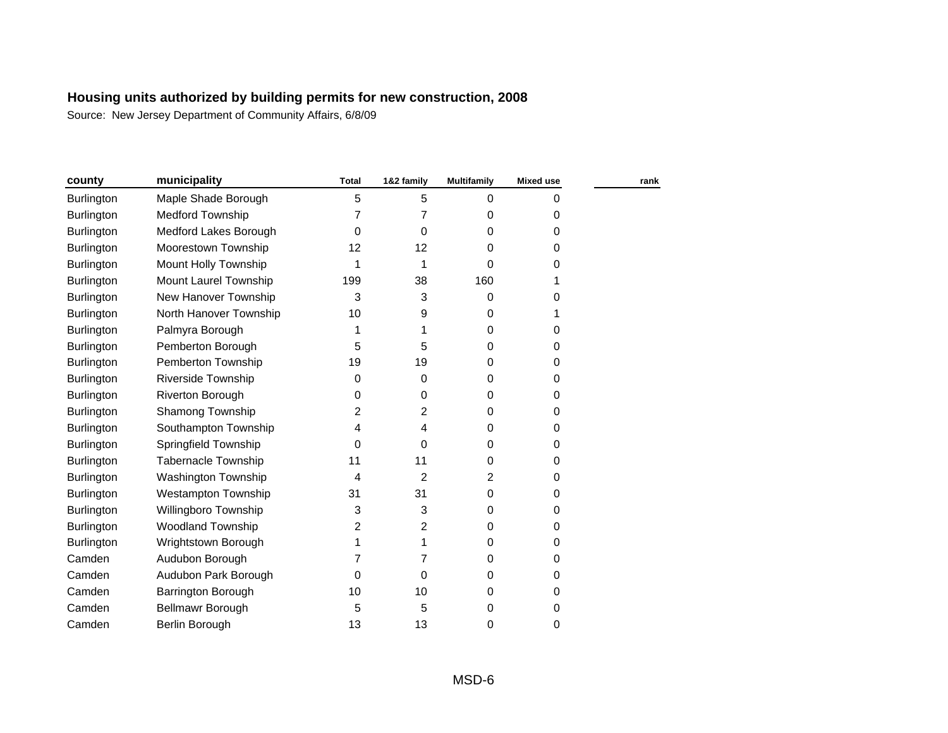| county            | municipality               | <b>Total</b>   | 1&2 family | Multifamily | <b>Mixed use</b> | rank |
|-------------------|----------------------------|----------------|------------|-------------|------------------|------|
| Burlington        | Maple Shade Borough        | 5              | 5          | 0           | 0                |      |
| <b>Burlington</b> | <b>Medford Township</b>    | $\overline{7}$ | 7          | 0           | 0                |      |
| Burlington        | Medford Lakes Borough      | 0              | 0          | 0           | 0                |      |
| Burlington        | Moorestown Township        | 12             | 12         | 0           | 0                |      |
| Burlington        | Mount Holly Township       | 1              | 1          | 0           | 0                |      |
| Burlington        | Mount Laurel Township      | 199            | 38         | 160         | 1                |      |
| Burlington        | New Hanover Township       | 3              | 3          | 0           | 0                |      |
| Burlington        | North Hanover Township     | 10             | 9          | 0           | 1                |      |
| Burlington        | Palmyra Borough            | 1              | 1          | 0           | 0                |      |
| <b>Burlington</b> | Pemberton Borough          | 5              | 5          | 0           | 0                |      |
| <b>Burlington</b> | Pemberton Township         | 19             | 19         | 0           | 0                |      |
| <b>Burlington</b> | Riverside Township         | 0              | 0          | 0           | 0                |      |
| <b>Burlington</b> | Riverton Borough           | 0              | 0          | 0           | 0                |      |
| <b>Burlington</b> | Shamong Township           | 2              | 2          | 0           | 0                |      |
| Burlington        | Southampton Township       | 4              | 4          | 0           | 0                |      |
| <b>Burlington</b> | Springfield Township       | 0              | 0          | 0           | 0                |      |
| <b>Burlington</b> | <b>Tabernacle Township</b> | 11             | 11         | 0           | 0                |      |
| Burlington        | Washington Township        | 4              | 2          | 2           | 0                |      |
| <b>Burlington</b> | <b>Westampton Township</b> | 31             | 31         | $\Omega$    | 0                |      |
| <b>Burlington</b> | Willingboro Township       | 3              | 3          | 0           | 0                |      |
| <b>Burlington</b> | <b>Woodland Township</b>   | 2              | 2          | 0           | 0                |      |
| <b>Burlington</b> | Wrightstown Borough        | 1              | 1          | $\Omega$    | 0                |      |
| Camden            | Audubon Borough            | 7              | 7          | 0           | 0                |      |
| Camden            | Audubon Park Borough       | $\Omega$       | 0          | 0           | 0                |      |
| Camden            | Barrington Borough         | 10             | 10         | 0           | 0                |      |
| Camden            | Bellmawr Borough           | 5              | 5          | 0           | 0                |      |
| Camden            | Berlin Borough             | 13             | 13         | 0           | 0                |      |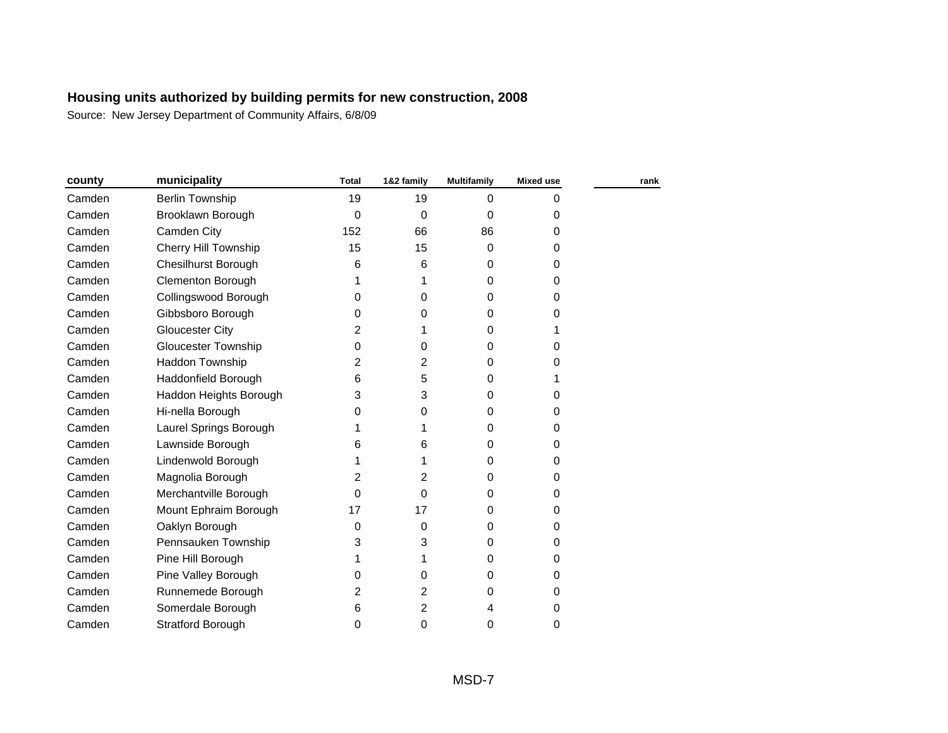| county | municipality                | <b>Total</b>   | 1&2 family | <b>Multifamily</b> | <b>Mixed use</b> | rank |
|--------|-----------------------------|----------------|------------|--------------------|------------------|------|
| Camden | <b>Berlin Township</b>      | 19             | 19         | $\Omega$           | 0                |      |
| Camden | Brooklawn Borough           | 0              | 0          | $\Omega$           | 0                |      |
| Camden | Camden City                 | 152            | 66         | 86                 | 0                |      |
| Camden | <b>Cherry Hill Township</b> | 15             | 15         | $\Omega$           | 0                |      |
| Camden | <b>Chesilhurst Borough</b>  | 6              | 6          | 0                  | 0                |      |
| Camden | <b>Clementon Borough</b>    |                |            | $\Omega$           | 0                |      |
| Camden | Collingswood Borough        | 0              | 0          | $\Omega$           | 0                |      |
| Camden | Gibbsboro Borough           | 0              | 0          | 0                  | 0                |      |
| Camden | Gloucester City             | $\overline{2}$ | 1          | 0                  |                  |      |
| Camden | <b>Gloucester Township</b>  | 0              | 0          | $\Omega$           | 0                |      |
| Camden | Haddon Township             | 2              | 2          | 0                  | 0                |      |
| Camden | Haddonfield Borough         | 6              | 5          | 0                  |                  |      |
| Camden | Haddon Heights Borough      | 3              | 3          | 0                  | 0                |      |
| Camden | Hi-nella Borough            | 0              | 0          | 0                  | 0                |      |
| Camden | Laurel Springs Borough      |                |            | 0                  | 0                |      |
| Camden | Lawnside Borough            | 6              | 6          | 0                  | 0                |      |
| Camden | Lindenwold Borough          |                | 1          | 0                  | 0                |      |
| Camden | Magnolia Borough            | $\overline{2}$ | 2          | 0                  | 0                |      |
| Camden | Merchantville Borough       | $\Omega$       | 0          | 0                  | 0                |      |
| Camden | Mount Ephraim Borough       | 17             | 17         | 0                  | 0                |      |
| Camden | Oaklyn Borough              | 0              | 0          | 0                  | 0                |      |
| Camden | Pennsauken Township         | 3              | 3          | 0                  | 0                |      |
| Camden | Pine Hill Borough           |                | 1          | $\Omega$           | 0                |      |
| Camden | Pine Valley Borough         | $\Omega$       | 0          | 0                  | 0                |      |
| Camden | Runnemede Borough           | 2              | 2          | 0                  | 0                |      |
| Camden | Somerdale Borough           | 6              | 2          | 4                  | 0                |      |
| Camden | <b>Stratford Borough</b>    | 0              | 0          | 0                  | 0                |      |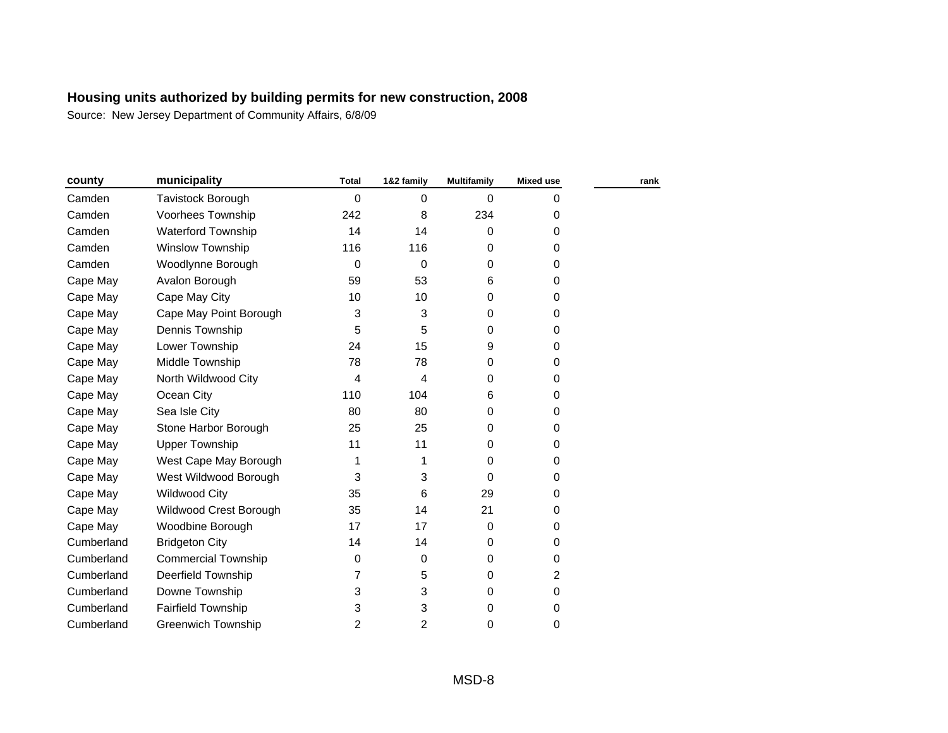| county     | municipality               | <b>Total</b>   | 1&2 family | <b>Multifamily</b> | <b>Mixed use</b> | rank |
|------------|----------------------------|----------------|------------|--------------------|------------------|------|
| Camden     | Tavistock Borough          | 0              | 0          | $\Omega$           | 0                |      |
| Camden     | Voorhees Township          | 242            | 8          | 234                | 0                |      |
| Camden     | <b>Waterford Township</b>  | 14             | 14         | 0                  | 0                |      |
| Camden     | Winslow Township           | 116            | 116        | $\Omega$           | 0                |      |
| Camden     | Woodlynne Borough          | $\mathbf 0$    | 0          | $\Omega$           | 0                |      |
| Cape May   | Avalon Borough             | 59             | 53         | 6                  | 0                |      |
| Cape May   | Cape May City              | 10             | 10         | 0                  | 0                |      |
| Cape May   | Cape May Point Borough     | 3              | 3          | $\Omega$           | 0                |      |
| Cape May   | Dennis Township            | 5              | 5          | 0                  | 0                |      |
| Cape May   | Lower Township             | 24             | 15         | 9                  | 0                |      |
| Cape May   | Middle Township            | 78             | 78         | $\Omega$           | 0                |      |
| Cape May   | North Wildwood City        | 4              | 4          | $\Omega$           | 0                |      |
| Cape May   | Ocean City                 | 110            | 104        | 6                  | 0                |      |
| Cape May   | Sea Isle City              | 80             | 80         | 0                  | 0                |      |
| Cape May   | Stone Harbor Borough       | 25             | 25         | $\Omega$           | 0                |      |
| Cape May   | <b>Upper Township</b>      | 11             | 11         | 0                  | 0                |      |
| Cape May   | West Cape May Borough      | 1              | 1          | 0                  | 0                |      |
| Cape May   | West Wildwood Borough      | 3              | 3          | 0                  | 0                |      |
| Cape May   | <b>Wildwood City</b>       | 35             | 6          | 29                 | 0                |      |
| Cape May   | Wildwood Crest Borough     | 35             | 14         | 21                 | 0                |      |
| Cape May   | Woodbine Borough           | 17             | 17         | 0                  | 0                |      |
| Cumberland | <b>Bridgeton City</b>      | 14             | 14         | 0                  | 0                |      |
| Cumberland | <b>Commercial Township</b> | 0              | 0          | $\Omega$           | 0                |      |
| Cumberland | Deerfield Township         | 7              | 5          | 0                  | 2                |      |
| Cumberland | Downe Township             | 3              | 3          | 0                  | 0                |      |
| Cumberland | Fairfield Township         | 3              | 3          | 0                  | 0                |      |
| Cumberland | <b>Greenwich Township</b>  | $\overline{2}$ | 2          | $\Omega$           | 0                |      |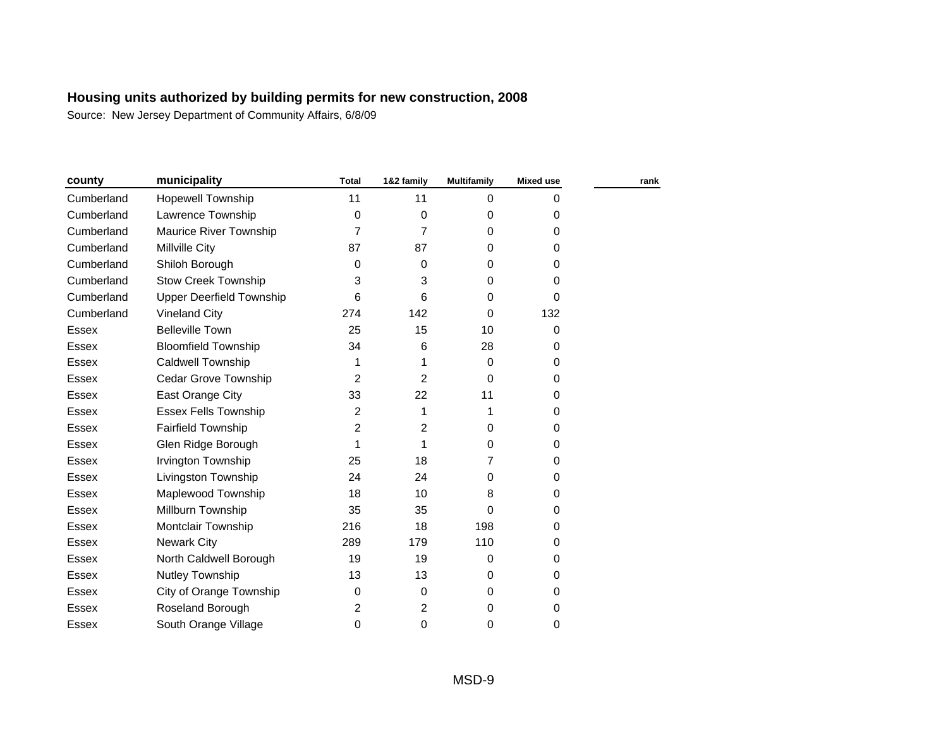| county       | municipality                    | <b>Total</b> | 1&2 family     | <b>Multifamily</b> | <b>Mixed use</b> | rank |
|--------------|---------------------------------|--------------|----------------|--------------------|------------------|------|
| Cumberland   | <b>Hopewell Township</b>        | 11           | 11             | 0                  | 0                |      |
| Cumberland   | Lawrence Township               | 0            | $\mathbf 0$    | 0                  | 0                |      |
| Cumberland   | Maurice River Township          | 7            | 7              | 0                  | 0                |      |
| Cumberland   | Millville City                  | 87           | 87             | 0                  | 0                |      |
| Cumberland   | Shiloh Borough                  | 0            | $\Omega$       | 0                  | 0                |      |
| Cumberland   | <b>Stow Creek Township</b>      | 3            | 3              | 0                  | 0                |      |
| Cumberland   | <b>Upper Deerfield Township</b> | 6            | 6              | $\Omega$           | 0                |      |
| Cumberland   | <b>Vineland City</b>            | 274          | 142            | $\Omega$           | 132              |      |
| <b>Essex</b> | <b>Belleville Town</b>          | 25           | 15             | 10                 | 0                |      |
| <b>Essex</b> | <b>Bloomfield Township</b>      | 34           | 6              | 28                 | 0                |      |
| <b>Essex</b> | <b>Caldwell Township</b>        | 1            | 1              | $\mathbf 0$        | 0                |      |
| <b>Essex</b> | Cedar Grove Township            | 2            | 2              | $\Omega$           | 0                |      |
| <b>Essex</b> | East Orange City                | 33           | 22             | 11                 | 0                |      |
| <b>Essex</b> | <b>Essex Fells Township</b>     | 2            | 1              | 1                  | 0                |      |
| <b>Essex</b> | Fairfield Township              | 2            | 2              | 0                  | 0                |      |
| <b>Essex</b> | Glen Ridge Borough              | 1            | 1              | $\Omega$           | 0                |      |
| <b>Essex</b> | Irvington Township              | 25           | 18             | 7                  | 0                |      |
| <b>Essex</b> | Livingston Township             | 24           | 24             | 0                  | 0                |      |
| <b>Essex</b> | Maplewood Township              | 18           | 10             | 8                  | 0                |      |
| <b>Essex</b> | Millburn Township               | 35           | 35             | $\Omega$           | 0                |      |
| <b>Essex</b> | Montclair Township              | 216          | 18             | 198                | 0                |      |
| <b>Essex</b> | <b>Newark City</b>              | 289          | 179            | 110                | 0                |      |
| <b>Essex</b> | North Caldwell Borough          | 19           | 19             | 0                  | 0                |      |
| <b>Essex</b> | Nutley Township                 | 13           | 13             | $\Omega$           | 0                |      |
| <b>Essex</b> | City of Orange Township         | 0            | $\Omega$       | $\Omega$           | 0                |      |
| <b>Essex</b> | Roseland Borough                | 2            | $\overline{2}$ | 0                  | 0                |      |
| <b>Essex</b> | South Orange Village            | 0            | $\mathbf 0$    | 0                  | 0                |      |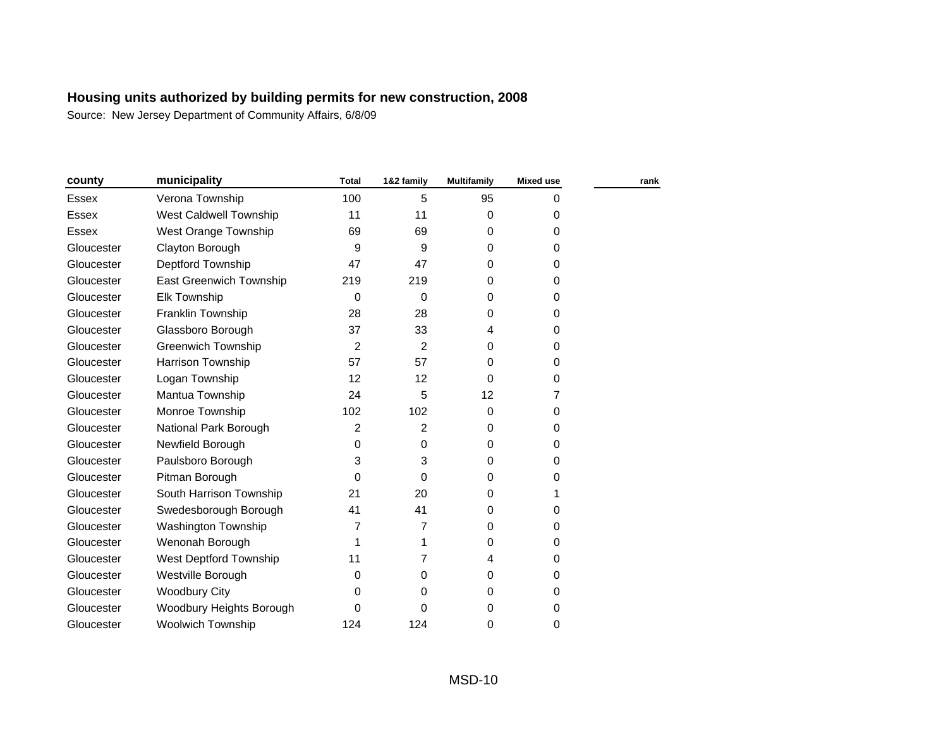| county       | municipality              | <b>Total</b> | 1&2 family | <b>Multifamily</b> | <b>Mixed use</b> | rank |
|--------------|---------------------------|--------------|------------|--------------------|------------------|------|
| Essex        | Verona Township           | 100          | 5          | 95                 | 0                |      |
| Essex        | West Caldwell Township    | 11           | 11         | $\mathbf 0$        | 0                |      |
| <b>Essex</b> | West Orange Township      | 69           | 69         | 0                  | 0                |      |
| Gloucester   | Clayton Borough           | 9            | 9          | $\Omega$           | 0                |      |
| Gloucester   | Deptford Township         | 47           | 47         | 0                  | 0                |      |
| Gloucester   | East Greenwich Township   | 219          | 219        | 0                  | 0                |      |
| Gloucester   | <b>Elk Township</b>       | $\Omega$     | $\Omega$   | 0                  | 0                |      |
| Gloucester   | Franklin Township         | 28           | 28         | 0                  | 0                |      |
| Gloucester   | Glassboro Borough         | 37           | 33         | 4                  | 0                |      |
| Gloucester   | <b>Greenwich Township</b> | 2            | 2          | 0                  | 0                |      |
| Gloucester   | Harrison Township         | 57           | 57         | 0                  | 0                |      |
| Gloucester   | Logan Township            | 12           | 12         | $\Omega$           | 0                |      |
| Gloucester   | Mantua Township           | 24           | 5          | 12                 | 7                |      |
| Gloucester   | Monroe Township           | 102          | 102        | $\Omega$           | 0                |      |
| Gloucester   | National Park Borough     | 2            | 2          | $\mathbf 0$        | 0                |      |
| Gloucester   | Newfield Borough          | 0            | $\Omega$   | $\Omega$           | 0                |      |
| Gloucester   | Paulsboro Borough         | 3            | 3          | $\Omega$           | 0                |      |
| Gloucester   | Pitman Borough            | 0            | $\Omega$   | 0                  | 0                |      |
| Gloucester   | South Harrison Township   | 21           | 20         | 0                  | 1                |      |
| Gloucester   | Swedesborough Borough     | 41           | 41         | $\Omega$           | 0                |      |
| Gloucester   | Washington Township       | 7            | 7          | 0                  | 0                |      |
| Gloucester   | Wenonah Borough           | 1            | 1          | 0                  | 0                |      |
| Gloucester   | West Deptford Township    | 11           | 7          | 4                  | 0                |      |
| Gloucester   | Westville Borough         | $\Omega$     | $\Omega$   | 0                  | 0                |      |
| Gloucester   | Woodbury City             | 0            | 0          | 0                  | 0                |      |
| Gloucester   | Woodbury Heights Borough  | 0            | 0          | 0                  | 0                |      |
| Gloucester   | <b>Woolwich Township</b>  | 124          | 124        | 0                  | 0                |      |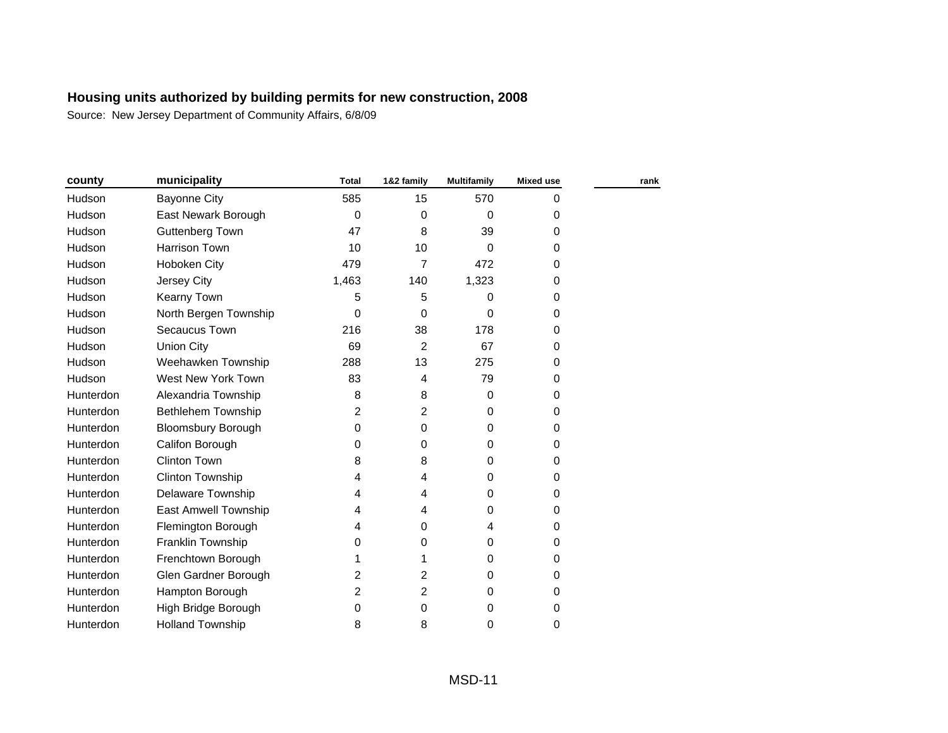| county    | municipality              | <b>Total</b> | 1&2 family     | <b>Multifamily</b> | <b>Mixed use</b> | rank |
|-----------|---------------------------|--------------|----------------|--------------------|------------------|------|
| Hudson    | <b>Bayonne City</b>       | 585          | 15             | 570                | 0                |      |
| Hudson    | East Newark Borough       | $\mathbf 0$  | $\Omega$       | $\Omega$           | 0                |      |
| Hudson    | Guttenberg Town           | 47           | 8              | 39                 | 0                |      |
| Hudson    | Harrison Town             | 10           | 10             | $\Omega$           | 0                |      |
| Hudson    | Hoboken City              | 479          | $\overline{7}$ | 472                | 0                |      |
| Hudson    | Jersey City               | 1,463        | 140            | 1,323              | 0                |      |
| Hudson    | Kearny Town               | 5            | 5              | $\Omega$           | 0                |      |
| Hudson    | North Bergen Township     | $\Omega$     | 0              | $\Omega$           | 0                |      |
| Hudson    | Secaucus Town             | 216          | 38             | 178                | 0                |      |
| Hudson    | <b>Union City</b>         | 69           | 2              | 67                 | 0                |      |
| Hudson    | Weehawken Township        | 288          | 13             | 275                | 0                |      |
| Hudson    | West New York Town        | 83           | 4              | 79                 | 0                |      |
| Hunterdon | Alexandria Township       | 8            | 8              | $\mathbf 0$        | 0                |      |
| Hunterdon | <b>Bethlehem Township</b> | 2            | 2              | 0                  | 0                |      |
| Hunterdon | <b>Bloomsbury Borough</b> | $\Omega$     | 0              | 0                  | 0                |      |
| Hunterdon | Califon Borough           | $\Omega$     | $\Omega$       | 0                  | 0                |      |
| Hunterdon | <b>Clinton Town</b>       | 8            | 8              | $\Omega$           | 0                |      |
| Hunterdon | Clinton Township          | 4            | 4              | 0                  | 0                |      |
| Hunterdon | Delaware Township         | 4            | 4              | 0                  | 0                |      |
| Hunterdon | East Amwell Township      | 4            | 4              | $\Omega$           | 0                |      |
| Hunterdon | Flemington Borough        | 4            | 0              | 4                  | 0                |      |
| Hunterdon | Franklin Township         | 0            | 0              | 0                  | 0                |      |
| Hunterdon | Frenchtown Borough        | 1            | 1              | $\Omega$           | 0                |      |
| Hunterdon | Glen Gardner Borough      | 2            | $\overline{2}$ | 0                  | 0                |      |
| Hunterdon | Hampton Borough           | 2            | 2              | 0                  | 0                |      |
| Hunterdon | High Bridge Borough       | $\Omega$     | 0              | 0                  | 0                |      |
| Hunterdon | <b>Holland Township</b>   | 8            | 8              | 0                  | 0                |      |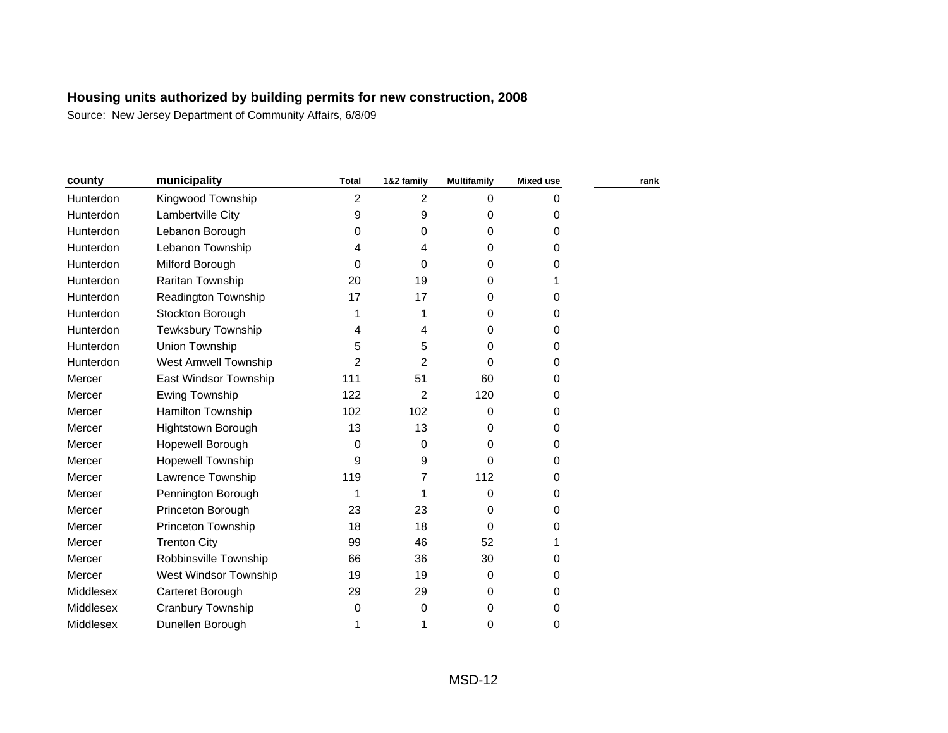| county           | municipality                | <b>Total</b> | 1&2 family  | <b>Multifamily</b> | <b>Mixed use</b> | rank |
|------------------|-----------------------------|--------------|-------------|--------------------|------------------|------|
| Hunterdon        | Kingwood Township           | 2            | 2           | $\Omega$           | 0                |      |
| Hunterdon        | Lambertville City           | 9            | 9           | $\Omega$           | 0                |      |
| Hunterdon        | Lebanon Borough             | 0            | 0           | 0                  | 0                |      |
| Hunterdon        | Lebanon Township            | 4            | 4           | 0                  | 0                |      |
| Hunterdon        | Milford Borough             | $\Omega$     | $\Omega$    | 0                  | 0                |      |
| Hunterdon        | Raritan Township            | 20           | 19          | 0                  | 1                |      |
| Hunterdon        | Readington Township         | 17           | 17          | 0                  | 0                |      |
| <b>Hunterdon</b> | Stockton Borough            | 1            | 1           | 0                  | 0                |      |
| Hunterdon        | Tewksbury Township          | 4            | 4           | 0                  | 0                |      |
| Hunterdon        | Union Township              | 5            | 5           | 0                  | 0                |      |
| Hunterdon        | <b>West Amwell Township</b> | 2            | 2           | 0                  | 0                |      |
| Mercer           | East Windsor Township       | 111          | 51          | 60                 | 0                |      |
| Mercer           | Ewing Township              | 122          | 2           | 120                | 0                |      |
| Mercer           | Hamilton Township           | 102          | 102         | $\Omega$           | 0                |      |
| Mercer           | <b>Hightstown Borough</b>   | 13           | 13          | 0                  | 0                |      |
| Mercer           | Hopewell Borough            | 0            | $\mathbf 0$ | $\Omega$           | 0                |      |
| Mercer           | <b>Hopewell Township</b>    | 9            | 9           | 0                  | 0                |      |
| Mercer           | Lawrence Township           | 119          | 7           | 112                | 0                |      |
| Mercer           | Pennington Borough          | 1            | 1           | $\Omega$           | 0                |      |
| Mercer           | Princeton Borough           | 23           | 23          | $\Omega$           | 0                |      |
| Mercer           | Princeton Township          | 18           | 18          | $\Omega$           | 0                |      |
| Mercer           | <b>Trenton City</b>         | 99           | 46          | 52                 | 1                |      |
| Mercer           | Robbinsville Township       | 66           | 36          | 30                 | 0                |      |
| Mercer           | West Windsor Township       | 19           | 19          | $\mathbf 0$        | 0                |      |
| Middlesex        | Carteret Borough            | 29           | 29          | $\Omega$           | 0                |      |
| Middlesex        | Cranbury Township           | 0            | 0           | 0                  | 0                |      |
| Middlesex        | Dunellen Borough            | 1            | 1           | 0                  | 0                |      |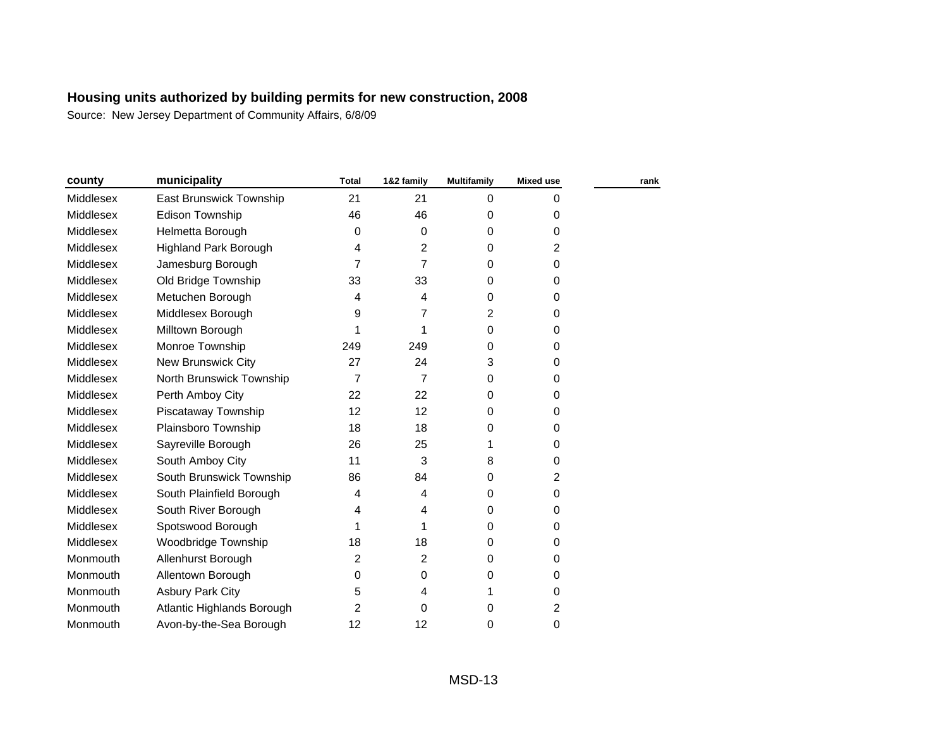| county           | municipality                 | <b>Total</b>   | 1&2 family     | <b>Multifamily</b> | <b>Mixed use</b> | rank |
|------------------|------------------------------|----------------|----------------|--------------------|------------------|------|
| <b>Middlesex</b> | East Brunswick Township      | 21             | 21             | $\Omega$           | 0                |      |
| Middlesex        | <b>Edison Township</b>       | 46             | 46             | 0                  | 0                |      |
| Middlesex        | Helmetta Borough             | 0              | $\Omega$       | 0                  | 0                |      |
| Middlesex        | <b>Highland Park Borough</b> | 4              | 2              | 0                  | 2                |      |
| Middlesex        | Jamesburg Borough            | 7              | 7              | 0                  | 0                |      |
| Middlesex        | Old Bridge Township          | 33             | 33             | 0                  | 0                |      |
| Middlesex        | Metuchen Borough             | 4              | 4              | $\Omega$           | 0                |      |
| Middlesex        | Middlesex Borough            | 9              | 7              | 2                  | 0                |      |
| Middlesex        | Milltown Borough             | 1              | 1              | 0                  | 0                |      |
| Middlesex        | Monroe Township              | 249            | 249            | $\Omega$           | 0                |      |
| Middlesex        | New Brunswick City           | 27             | 24             | 3                  | 0                |      |
| Middlesex        | North Brunswick Township     | $\overline{7}$ | $\overline{7}$ | 0                  | 0                |      |
| Middlesex        | Perth Amboy City             | 22             | 22             | 0                  | 0                |      |
| Middlesex        | Piscataway Township          | 12             | 12             | 0                  | 0                |      |
| Middlesex        | Plainsboro Township          | 18             | 18             | 0                  | 0                |      |
| Middlesex        | Sayreville Borough           | 26             | 25             | 1                  | 0                |      |
| Middlesex        | South Amboy City             | 11             | 3              | 8                  | 0                |      |
| Middlesex        | South Brunswick Township     | 86             | 84             | 0                  | 2                |      |
| Middlesex        | South Plainfield Borough     | 4              | 4              | 0                  | 0                |      |
| Middlesex        | South River Borough          | 4              | 4              | 0                  | 0                |      |
| Middlesex        | Spotswood Borough            | 1              | 1              | $\Omega$           | 0                |      |
| Middlesex        | Woodbridge Township          | 18             | 18             | $\Omega$           | 0                |      |
| Monmouth         | Allenhurst Borough           | 2              | 2              | 0                  | 0                |      |
| Monmouth         | Allentown Borough            | 0              | $\Omega$       | $\mathbf 0$        | 0                |      |
| Monmouth         | <b>Asbury Park City</b>      | 5              | 4              | 1                  | 0                |      |
| Monmouth         | Atlantic Highlands Borough   | 2              | $\Omega$       | 0                  | 2                |      |
| Monmouth         | Avon-by-the-Sea Borough      | 12             | 12             | 0                  | 0                |      |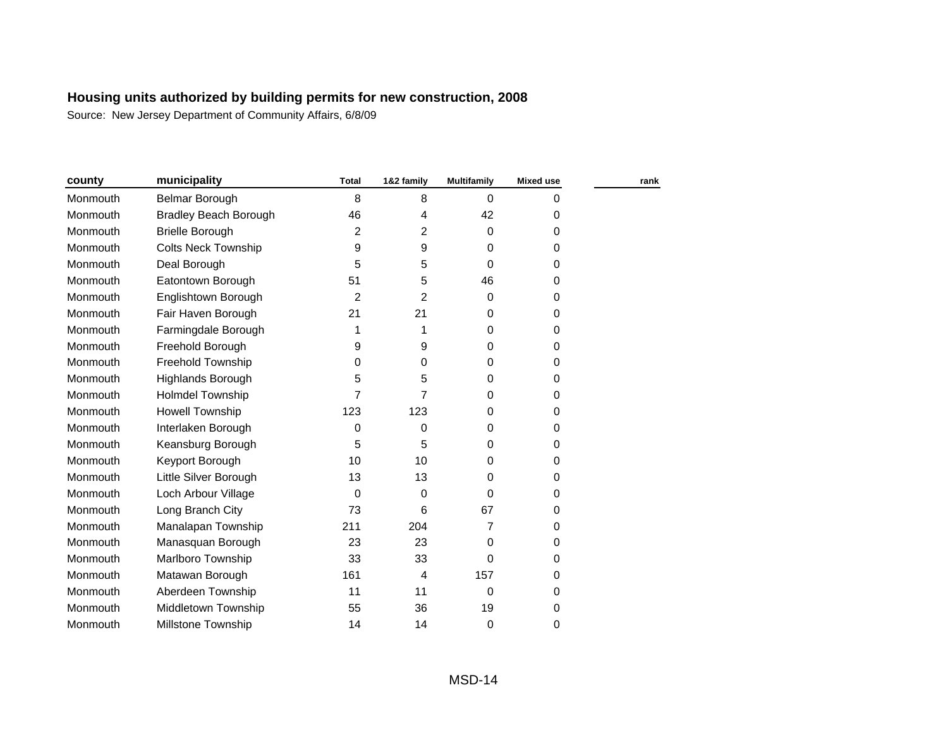| county   | municipality                 | <b>Total</b> | 1&2 family | <b>Multifamily</b> | <b>Mixed use</b> | rank |
|----------|------------------------------|--------------|------------|--------------------|------------------|------|
| Monmouth | Belmar Borough               | 8            | 8          | $\Omega$           | 0                |      |
| Monmouth | <b>Bradley Beach Borough</b> | 46           | 4          | 42                 | 0                |      |
| Monmouth | <b>Brielle Borough</b>       | 2            | 2          | $\mathbf 0$        | 0                |      |
| Monmouth | <b>Colts Neck Township</b>   | 9            | 9          | $\mathbf 0$        | 0                |      |
| Monmouth | Deal Borough                 | 5            | 5          | $\Omega$           | 0                |      |
| Monmouth | Eatontown Borough            | 51           | 5          | 46                 | 0                |      |
| Monmouth | Englishtown Borough          | 2            | 2          | $\mathbf 0$        | 0                |      |
| Monmouth | Fair Haven Borough           | 21           | 21         | 0                  | 0                |      |
| Monmouth | Farmingdale Borough          | 1            | 1          | 0                  | 0                |      |
| Monmouth | Freehold Borough             | 9            | 9          | $\Omega$           | 0                |      |
| Monmouth | Freehold Township            | 0            | 0          | 0                  | 0                |      |
| Monmouth | Highlands Borough            | 5            | 5          | 0                  | 0                |      |
| Monmouth | <b>Holmdel Township</b>      | 7            | 7          | $\Omega$           | 0                |      |
| Monmouth | <b>Howell Township</b>       | 123          | 123        | 0                  | 0                |      |
| Monmouth | Interlaken Borough           | 0            | 0          | 0                  | 0                |      |
| Monmouth | Keansburg Borough            | 5            | 5          | $\Omega$           | 0                |      |
| Monmouth | Keyport Borough              | 10           | 10         | 0                  | 0                |      |
| Monmouth | Little Silver Borough        | 13           | 13         | 0                  | 0                |      |
| Monmouth | Loch Arbour Village          | 0            | 0          | $\Omega$           | 0                |      |
| Monmouth | Long Branch City             | 73           | 6          | 67                 | 0                |      |
| Monmouth | Manalapan Township           | 211          | 204        | 7                  | 0                |      |
| Monmouth | Manasquan Borough            | 23           | 23         | $\mathbf 0$        | 0                |      |
| Monmouth | Marlboro Township            | 33           | 33         | $\Omega$           | 0                |      |
| Monmouth | Matawan Borough              | 161          | 4          | 157                | 0                |      |
| Monmouth | Aberdeen Township            | 11           | 11         | $\mathbf 0$        | 0                |      |
| Monmouth | Middletown Township          | 55           | 36         | 19                 | 0                |      |
| Monmouth | Millstone Township           | 14           | 14         | $\Omega$           | 0                |      |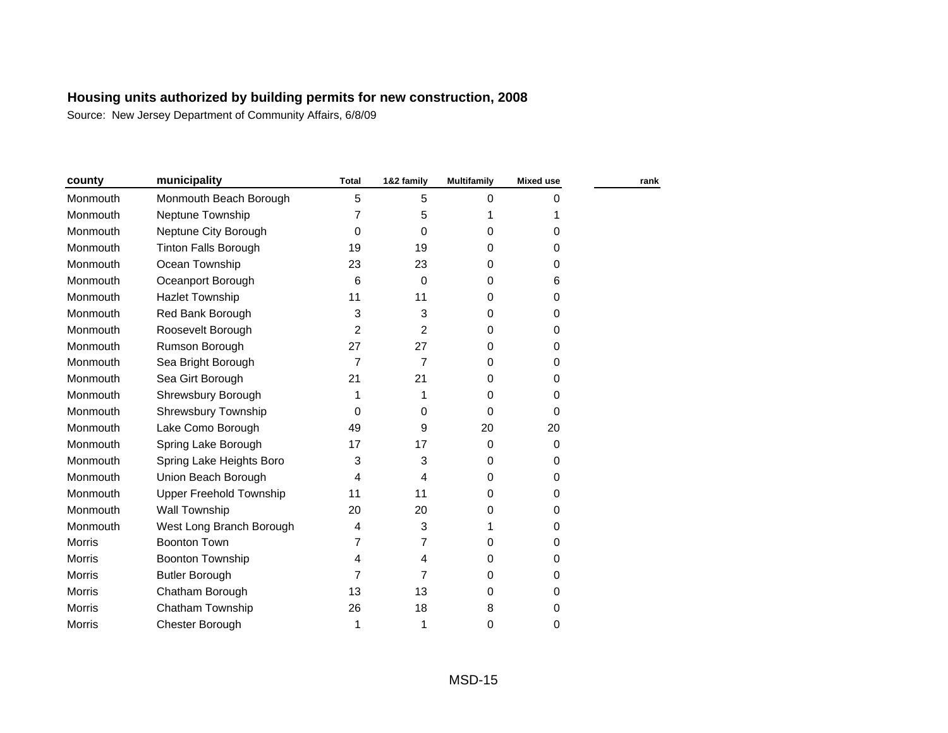| county        | municipality                   | <b>Total</b> | 1&2 family     | <b>Multifamily</b> | <b>Mixed use</b> | rank |
|---------------|--------------------------------|--------------|----------------|--------------------|------------------|------|
| Monmouth      | Monmouth Beach Borough         | 5            | 5              | $\Omega$           | 0                |      |
| Monmouth      | Neptune Township               | 7            | 5              |                    | 1                |      |
| Monmouth      | Neptune City Borough           | 0            | $\Omega$       | 0                  | 0                |      |
| Monmouth      | <b>Tinton Falls Borough</b>    | 19           | 19             | 0                  | 0                |      |
| Monmouth      | Ocean Township                 | 23           | 23             | 0                  | 0                |      |
| Monmouth      | Oceanport Borough              | 6            | $\Omega$       | 0                  | 6                |      |
| Monmouth      | <b>Hazlet Township</b>         | 11           | 11             | 0                  | 0                |      |
| Monmouth      | Red Bank Borough               | 3            | 3              | 0                  | 0                |      |
| Monmouth      | Roosevelt Borough              | 2            | 2              | 0                  | 0                |      |
| Monmouth      | Rumson Borough                 | 27           | 27             | 0                  | 0                |      |
| Monmouth      | Sea Bright Borough             | 7            | $\overline{7}$ | 0                  | 0                |      |
| Monmouth      | Sea Girt Borough               | 21           | 21             | 0                  | 0                |      |
| Monmouth      | Shrewsbury Borough             | 1            | 1              | 0                  | 0                |      |
| Monmouth      | Shrewsbury Township            | $\Omega$     | 0              | $\Omega$           | 0                |      |
| Monmouth      | Lake Como Borough              | 49           | 9              | 20                 | 20               |      |
| Monmouth      | Spring Lake Borough            | 17           | 17             | $\Omega$           | 0                |      |
| Monmouth      | Spring Lake Heights Boro       | 3            | 3              | 0                  | 0                |      |
| Monmouth      | Union Beach Borough            | 4            | 4              | 0                  | 0                |      |
| Monmouth      | <b>Upper Freehold Township</b> | 11           | 11             | 0                  | 0                |      |
| Monmouth      | <b>Wall Township</b>           | 20           | 20             | 0                  | 0                |      |
| Monmouth      | West Long Branch Borough       | 4            | 3              | 1                  | 0                |      |
| <b>Morris</b> | <b>Boonton Town</b>            | 7            | 7              | 0                  | 0                |      |
| <b>Morris</b> | Boonton Township               | 4            | 4              | 0                  | 0                |      |
| <b>Morris</b> | <b>Butler Borough</b>          | 7            | 7              | 0                  | 0                |      |
| <b>Morris</b> | Chatham Borough                | 13           | 13             | 0                  | 0                |      |
| <b>Morris</b> | Chatham Township               | 26           | 18             | 8                  | 0                |      |
| Morris        | <b>Chester Borough</b>         | 1            | 1              | 0                  | 0                |      |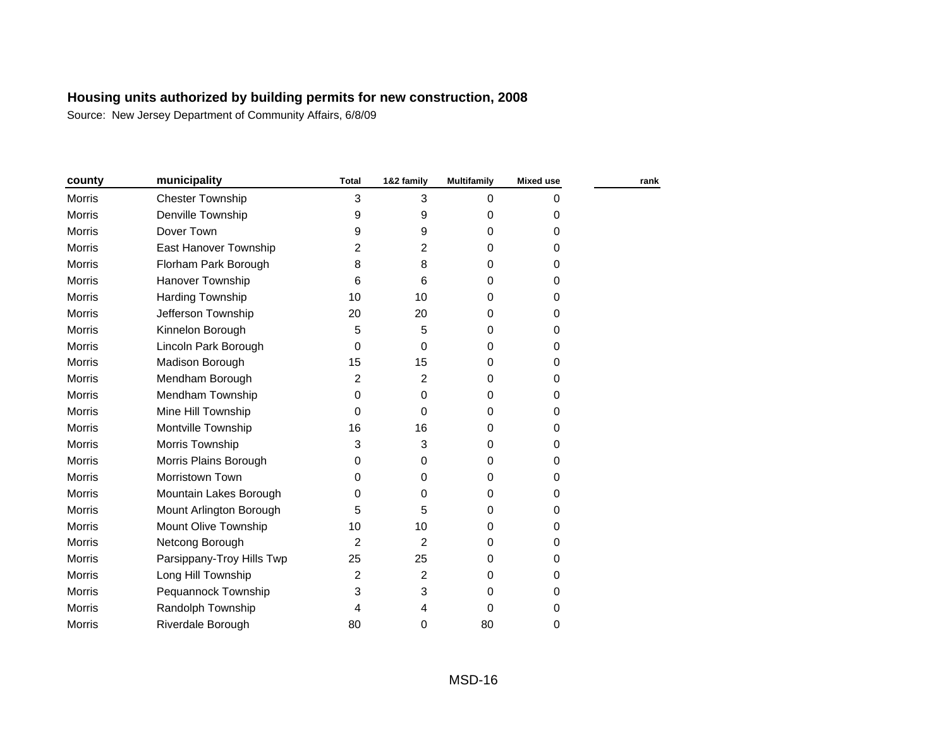| county        | municipality              | <b>Total</b>   | 1&2 family | Multifamily | <b>Mixed use</b> | rank |
|---------------|---------------------------|----------------|------------|-------------|------------------|------|
| <b>Morris</b> | <b>Chester Township</b>   | 3              | 3          | 0           | 0                |      |
| Morris        | Denville Township         | 9              | 9          | 0           | 0                |      |
| <b>Morris</b> | Dover Town                | 9              | 9          | $\Omega$    | 0                |      |
| <b>Morris</b> | East Hanover Township     | $\overline{2}$ | 2          | $\Omega$    | 0                |      |
| <b>Morris</b> | Florham Park Borough      | 8              | 8          | $\Omega$    | 0                |      |
| <b>Morris</b> | Hanover Township          | 6              | 6          | $\Omega$    | 0                |      |
| <b>Morris</b> | Harding Township          | 10             | 10         | 0           | 0                |      |
| Morris        | Jefferson Township        | 20             | 20         | 0           | 0                |      |
| <b>Morris</b> | Kinnelon Borough          | 5              | 5          | 0           | 0                |      |
| Morris        | Lincoln Park Borough      | 0              | 0          | 0           | 0                |      |
| Morris        | Madison Borough           | 15             | 15         | 0           | 0                |      |
| Morris        | Mendham Borough           | $\overline{2}$ | 2          | 0           | 0                |      |
| <b>Morris</b> | Mendham Township          | 0              | 0          | 0           | 0                |      |
| <b>Morris</b> | Mine Hill Township        | $\Omega$       | 0          | $\Omega$    | 0                |      |
| <b>Morris</b> | Montville Township        | 16             | 16         | 0           | 0                |      |
| <b>Morris</b> | Morris Township           | 3              | 3          | $\Omega$    | 0                |      |
| Morris        | Morris Plains Borough     | 0              | 0          | 0           | 0                |      |
| <b>Morris</b> | Morristown Town           | 0              | 0          | 0           | 0                |      |
| Morris        | Mountain Lakes Borough    | 0              | 0          | 0           | 0                |      |
| Morris        | Mount Arlington Borough   | 5              | 5          | 0           | 0                |      |
| Morris        | Mount Olive Township      | 10             | 10         | 0           | 0                |      |
| <b>Morris</b> | Netcong Borough           | $\overline{2}$ | 2          | $\Omega$    | 0                |      |
| <b>Morris</b> | Parsippany-Troy Hills Twp | 25             | 25         | 0           | 0                |      |
| <b>Morris</b> | Long Hill Township        | 2              | 2          | $\Omega$    | 0                |      |
| Morris        | Pequannock Township       | 3              | 3          | $\Omega$    | 0                |      |
| Morris        | Randolph Township         | 4              | 4          | $\Omega$    | 0                |      |
| Morris        | Riverdale Borough         | 80             | 0          | 80          | 0                |      |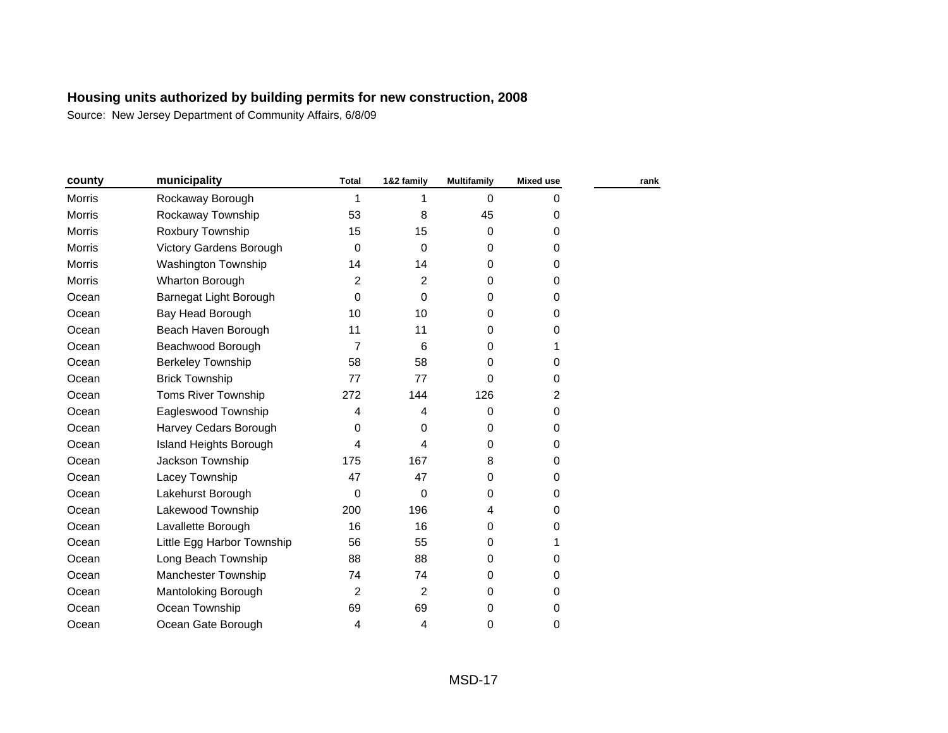| county        | municipality                  | <b>Total</b>   | 1&2 family     | <b>Multifamily</b> | <b>Mixed use</b> | rank |
|---------------|-------------------------------|----------------|----------------|--------------------|------------------|------|
| <b>Morris</b> | Rockaway Borough              | 1              | 1              | $\Omega$           | 0                |      |
| <b>Morris</b> | Rockaway Township             | 53             | 8              | 45                 | 0                |      |
| Morris        | Roxbury Township              | 15             | 15             | 0                  | 0                |      |
| Morris        | Victory Gardens Borough       | 0              | $\Omega$       | 0                  | 0                |      |
| <b>Morris</b> | <b>Washington Township</b>    | 14             | 14             | 0                  | 0                |      |
| Morris        | Wharton Borough               | 2              | 2              | 0                  | 0                |      |
| Ocean         | Barnegat Light Borough        | 0              | 0              | 0                  | 0                |      |
| Ocean         | Bay Head Borough              | 10             | 10             | 0                  | 0                |      |
| Ocean         | Beach Haven Borough           | 11             | 11             | 0                  | 0                |      |
| Ocean         | Beachwood Borough             | $\overline{7}$ | 6              | 0                  | 1                |      |
| Ocean         | <b>Berkeley Township</b>      | 58             | 58             | 0                  | 0                |      |
| Ocean         | <b>Brick Township</b>         | 77             | 77             | $\Omega$           | 0                |      |
| Ocean         | Toms River Township           | 272            | 144            | 126                | 2                |      |
| Ocean         | Eagleswood Township           | 4              | 4              | 0                  | 0                |      |
| Ocean         | Harvey Cedars Borough         | 0              | 0              | 0                  | 0                |      |
| Ocean         | <b>Island Heights Borough</b> | 4              | 4              | 0                  | 0                |      |
| Ocean         | Jackson Township              | 175            | 167            | 8                  | 0                |      |
| Ocean         | Lacey Township                | 47             | 47             | 0                  | 0                |      |
| Ocean         | Lakehurst Borough             | 0              | $\Omega$       | 0                  | 0                |      |
| Ocean         | Lakewood Township             | 200            | 196            | 4                  | 0                |      |
| Ocean         | Lavallette Borough            | 16             | 16             | 0                  | 0                |      |
| Ocean         | Little Egg Harbor Township    | 56             | 55             | 0                  | 1                |      |
| Ocean         | Long Beach Township           | 88             | 88             | 0                  | 0                |      |
| Ocean         | Manchester Township           | 74             | 74             | 0                  | 0                |      |
| Ocean         | Mantoloking Borough           | 2              | $\overline{2}$ | 0                  | 0                |      |
| Ocean         | Ocean Township                | 69             | 69             | 0                  | 0                |      |
| Ocean         | Ocean Gate Borough            | 4              | 4              | 0                  | 0                |      |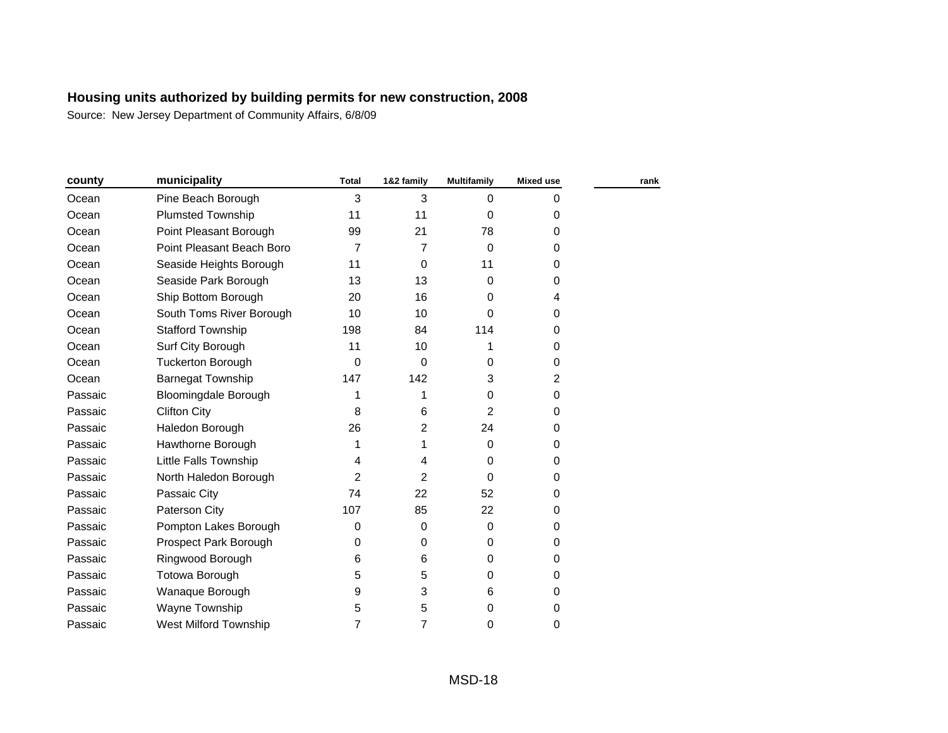| county  | municipality                 | <b>Total</b>   | 1&2 family     | <b>Multifamily</b> | <b>Mixed use</b> | rank |
|---------|------------------------------|----------------|----------------|--------------------|------------------|------|
| Ocean   | Pine Beach Borough           | 3              | 3              | $\Omega$           | 0                |      |
| Ocean   | <b>Plumsted Township</b>     | 11             | 11             | $\Omega$           | 0                |      |
| Ocean   | Point Pleasant Borough       | 99             | 21             | 78                 | 0                |      |
| Ocean   | Point Pleasant Beach Boro    | 7              | 7              | $\Omega$           | 0                |      |
| Ocean   | Seaside Heights Borough      | 11             | 0              | 11                 | 0                |      |
| Ocean   | Seaside Park Borough         | 13             | 13             | $\Omega$           | 0                |      |
| Ocean   | Ship Bottom Borough          | 20             | 16             | $\Omega$           | 4                |      |
| Ocean   | South Toms River Borough     | 10             | 10             | 0                  | 0                |      |
| Ocean   | <b>Stafford Township</b>     | 198            | 84             | 114                | 0                |      |
| Ocean   | Surf City Borough            | 11             | 10             | 1                  | 0                |      |
| Ocean   | <b>Tuckerton Borough</b>     | $\mathbf 0$    | $\Omega$       | 0                  | 0                |      |
| Ocean   | <b>Barnegat Township</b>     | 147            | 142            | 3                  | 2                |      |
| Passaic | <b>Bloomingdale Borough</b>  | 1              | 1              | $\Omega$           | 0                |      |
| Passaic | <b>Clifton City</b>          | 8              | 6              | $\mathfrak{p}$     | 0                |      |
| Passaic | Haledon Borough              | 26             | $\overline{2}$ | 24                 | 0                |      |
| Passaic | Hawthorne Borough            | 1              | 1              | 0                  | 0                |      |
| Passaic | Little Falls Township        | 4              | 4              | $\Omega$           | 0                |      |
| Passaic | North Haledon Borough        | 2              | 2              | $\Omega$           | 0                |      |
| Passaic | Passaic City                 | 74             | 22             | 52                 | 0                |      |
| Passaic | Paterson City                | 107            | 85             | 22                 | 0                |      |
| Passaic | Pompton Lakes Borough        | 0              | 0              | 0                  | 0                |      |
| Passaic | Prospect Park Borough        | 0              | $\Omega$       | $\Omega$           | 0                |      |
| Passaic | Ringwood Borough             | 6              | 6              | $\Omega$           | 0                |      |
| Passaic | Totowa Borough               | 5              | 5              | $\mathbf 0$        | 0                |      |
| Passaic | Wanaque Borough              | 9              | 3              | 6                  | 0                |      |
| Passaic | Wayne Township               | 5              | 5              | $\Omega$           | 0                |      |
| Passaic | <b>West Milford Township</b> | $\overline{7}$ | 7              | $\Omega$           | 0                |      |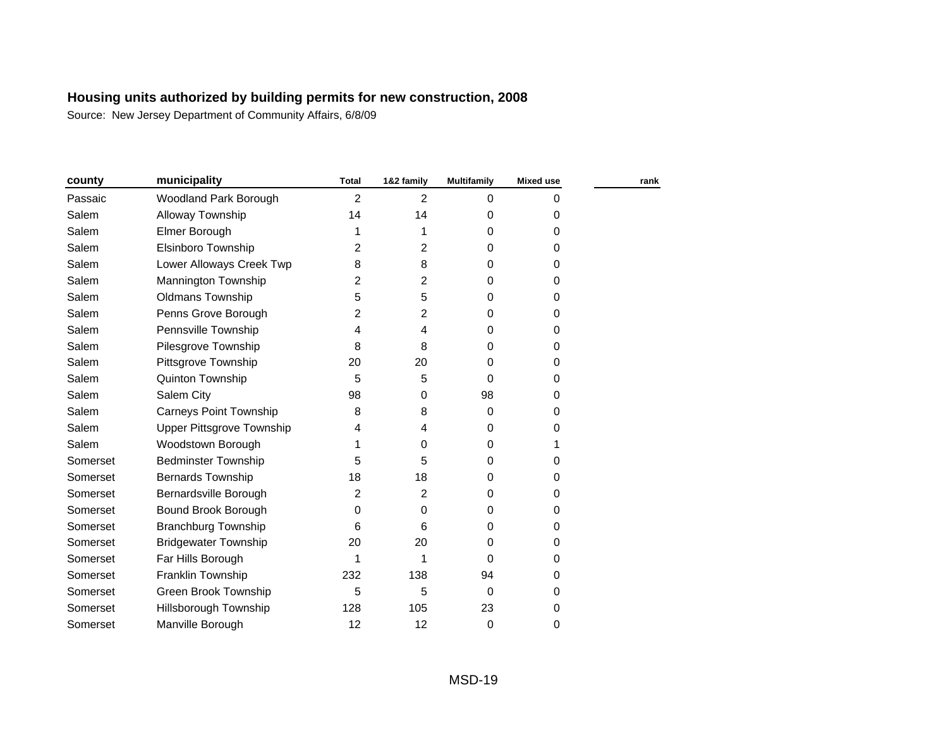| county   | municipality                     | <b>Total</b>   | 1&2 family | Multifamily | <b>Mixed use</b> | rank |
|----------|----------------------------------|----------------|------------|-------------|------------------|------|
| Passaic  | Woodland Park Borough            | $\overline{2}$ | 2          | $\Omega$    | 0                |      |
| Salem    | Alloway Township                 | 14             | 14         | 0           | 0                |      |
| Salem    | Elmer Borough                    | 1              | 1          | 0           | 0                |      |
| Salem    | Elsinboro Township               | 2              | 2          | 0           | 0                |      |
| Salem    | Lower Alloways Creek Twp         | 8              | 8          | $\Omega$    | 0                |      |
| Salem    | Mannington Township              | $\overline{2}$ | 2          | $\Omega$    | 0                |      |
| Salem    | <b>Oldmans Township</b>          | 5              | 5          | 0           | 0                |      |
| Salem    | Penns Grove Borough              | 2              | 2          | 0           | 0                |      |
| Salem    | Pennsville Township              | 4              | 4          | 0           | 0                |      |
| Salem    | Pilesgrove Township              | 8              | 8          | 0           | 0                |      |
| Salem    | Pittsgrove Township              | 20             | 20         | 0           | 0                |      |
| Salem    | Quinton Township                 | 5              | 5          | $\Omega$    | 0                |      |
| Salem    | Salem City                       | 98             | 0          | 98          | 0                |      |
| Salem    | <b>Carneys Point Township</b>    | 8              | 8          | $\Omega$    | 0                |      |
| Salem    | <b>Upper Pittsgrove Township</b> | 4              | 4          | 0           | 0                |      |
| Salem    | Woodstown Borough                |                | 0          | $\Omega$    | 1                |      |
| Somerset | <b>Bedminster Township</b>       | 5              | 5          | 0           | 0                |      |
| Somerset | <b>Bernards Township</b>         | 18             | 18         | 0           | 0                |      |
| Somerset | Bernardsville Borough            | 2              | 2          | 0           | 0                |      |
| Somerset | Bound Brook Borough              | $\Omega$       | 0          | 0           | 0                |      |
| Somerset | <b>Branchburg Township</b>       | 6              | 6          | 0           | 0                |      |
| Somerset | <b>Bridgewater Township</b>      | 20             | 20         | 0           | 0                |      |
| Somerset | Far Hills Borough                | 1              | 1          | 0           | 0                |      |
| Somerset | Franklin Township                | 232            | 138        | 94          | 0                |      |
| Somerset | Green Brook Township             | 5              | 5          | $\Omega$    | 0                |      |
| Somerset | Hillsborough Township            | 128            | 105        | 23          | 0                |      |
| Somerset | Manville Borough                 | 12             | 12         | $\mathbf 0$ | 0                |      |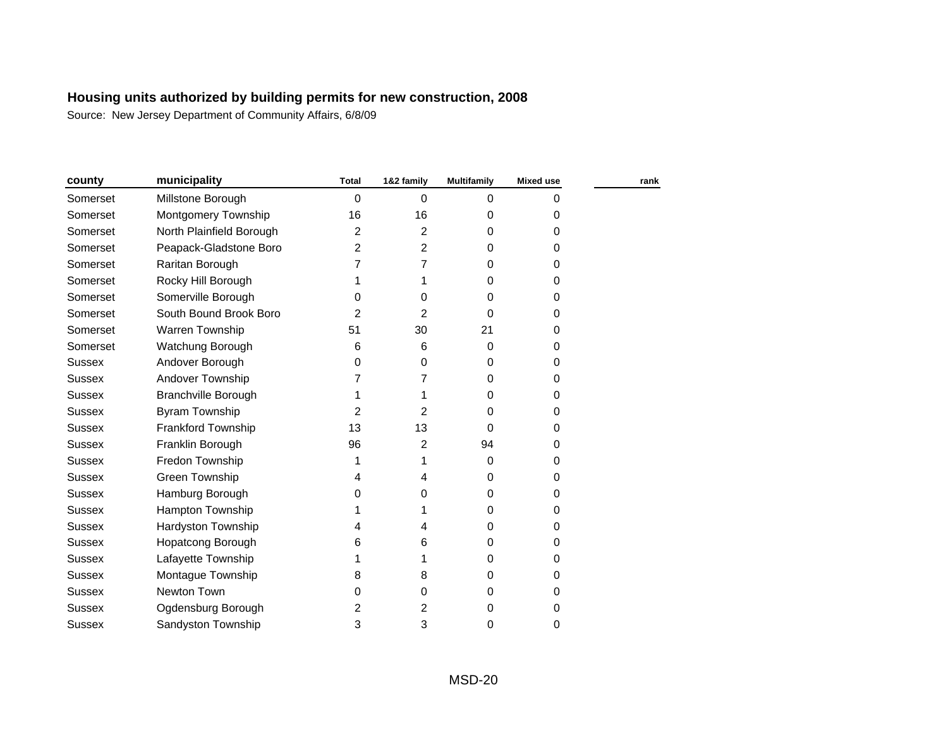| county        | municipality               | <b>Total</b> | 1&2 family | <b>Multifamily</b> | <b>Mixed use</b> | rank |
|---------------|----------------------------|--------------|------------|--------------------|------------------|------|
| Somerset      | Millstone Borough          | 0            | $\Omega$   | $\Omega$           | 0                |      |
| Somerset      | Montgomery Township        | 16           | 16         | 0                  | 0                |      |
| Somerset      | North Plainfield Borough   | 2            | 2          | 0                  | 0                |      |
| Somerset      | Peapack-Gladstone Boro     | 2            | 2          | 0                  | 0                |      |
| Somerset      | Raritan Borough            | 7            | 7          | 0                  | 0                |      |
| Somerset      | Rocky Hill Borough         | 1            | 1          | 0                  | 0                |      |
| Somerset      | Somerville Borough         | 0            | 0          | 0                  | 0                |      |
| Somerset      | South Bound Brook Boro     | 2            | 2          | 0                  | 0                |      |
| Somerset      | Warren Township            | 51           | 30         | 21                 | 0                |      |
| Somerset      | Watchung Borough           | 6            | 6          | $\Omega$           | 0                |      |
| <b>Sussex</b> | Andover Borough            | 0            | 0          | 0                  | 0                |      |
| <b>Sussex</b> | Andover Township           | 7            | 7          | 0                  | 0                |      |
| <b>Sussex</b> | <b>Branchville Borough</b> |              | 1          | 0                  | 0                |      |
| <b>Sussex</b> | <b>Byram Township</b>      | 2            | 2          | 0                  | 0                |      |
| <b>Sussex</b> | Frankford Township         | 13           | 13         | 0                  | 0                |      |
| <b>Sussex</b> | Franklin Borough           | 96           | 2          | 94                 | 0                |      |
| <b>Sussex</b> | Fredon Township            | 1            | 1          | $\mathbf 0$        | 0                |      |
| <b>Sussex</b> | Green Township             | 4            | 4          | 0                  | 0                |      |
| <b>Sussex</b> | Hamburg Borough            | 0            | 0          | 0                  | 0                |      |
| <b>Sussex</b> | Hampton Township           |              | 1          | 0                  | 0                |      |
| <b>Sussex</b> | Hardyston Township         | 4            | 4          | 0                  | 0                |      |
| <b>Sussex</b> | Hopatcong Borough          | 6            | 6          | 0                  | 0                |      |
| <b>Sussex</b> | Lafayette Township         |              | 1          | 0                  | 0                |      |
| <b>Sussex</b> | Montague Township          | 8            | 8          | 0                  | 0                |      |
| <b>Sussex</b> | Newton Town                | 0            | 0          | 0                  | 0                |      |
| <b>Sussex</b> | Ogdensburg Borough         | 2            | 2          | 0                  | 0                |      |
| Sussex        | Sandyston Township         | 3            | 3          | 0                  | 0                |      |
|               |                            |              |            |                    |                  |      |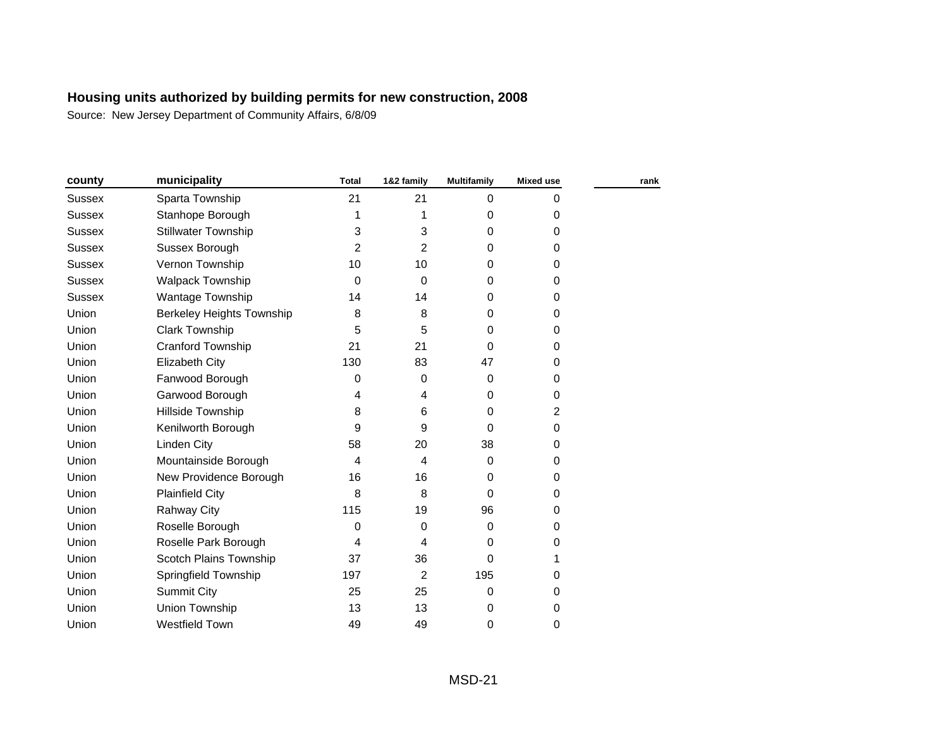| county        | municipality               | <b>Total</b>   | 1&2 family     | <b>Multifamily</b> | <b>Mixed use</b> | rank |
|---------------|----------------------------|----------------|----------------|--------------------|------------------|------|
| Sussex        | Sparta Township            | 21             | 21             | $\Omega$           | 0                |      |
| Sussex        | Stanhope Borough           | 1              | 1              | 0                  | 0                |      |
| <b>Sussex</b> | <b>Stillwater Township</b> | 3              | 3              | 0                  | 0                |      |
| <b>Sussex</b> | Sussex Borough             | $\overline{2}$ | 2              | $\Omega$           | 0                |      |
| Sussex        | Vernon Township            | 10             | 10             | 0                  | 0                |      |
| <b>Sussex</b> | <b>Walpack Township</b>    | 0              | $\mathbf 0$    | 0                  | 0                |      |
| <b>Sussex</b> | Wantage Township           | 14             | 14             | 0                  | 0                |      |
| Union         | Berkeley Heights Township  | 8              | 8              | 0                  | 0                |      |
| Union         | <b>Clark Township</b>      | 5              | 5              | 0                  | 0                |      |
| Union         | <b>Cranford Township</b>   | 21             | 21             | 0                  | 0                |      |
| Union         | Elizabeth City             | 130            | 83             | 47                 | 0                |      |
| Union         | Fanwood Borough            | 0              | 0              | 0                  | 0                |      |
| Union         | Garwood Borough            | 4              | 4              | $\Omega$           | 0                |      |
| Union         | Hillside Township          | 8              | 6              | $\Omega$           | 2                |      |
| Union         | Kenilworth Borough         | 9              | 9              | $\Omega$           | 0                |      |
| Union         | <b>Linden City</b>         | 58             | 20             | 38                 | 0                |      |
| Union         | Mountainside Borough       | 4              | 4              | $\Omega$           | 0                |      |
| Union         | New Providence Borough     | 16             | 16             | 0                  | 0                |      |
| Union         | <b>Plainfield City</b>     | 8              | 8              | 0                  | 0                |      |
| Union         | <b>Rahway City</b>         | 115            | 19             | 96                 | 0                |      |
| Union         | Roselle Borough            | 0              | 0              | 0                  | 0                |      |
| Union         | Roselle Park Borough       | 4              | 4              | $\Omega$           | 0                |      |
| Union         | Scotch Plains Township     | 37             | 36             | $\Omega$           | 1                |      |
| Union         | Springfield Township       | 197            | $\overline{c}$ | 195                | 0                |      |
| Union         | <b>Summit City</b>         | 25             | 25             | 0                  | 0                |      |
| Union         | Union Township             | 13             | 13             | 0                  | 0                |      |
| Union         | <b>Westfield Town</b>      | 49             | 49             | 0                  | 0                |      |